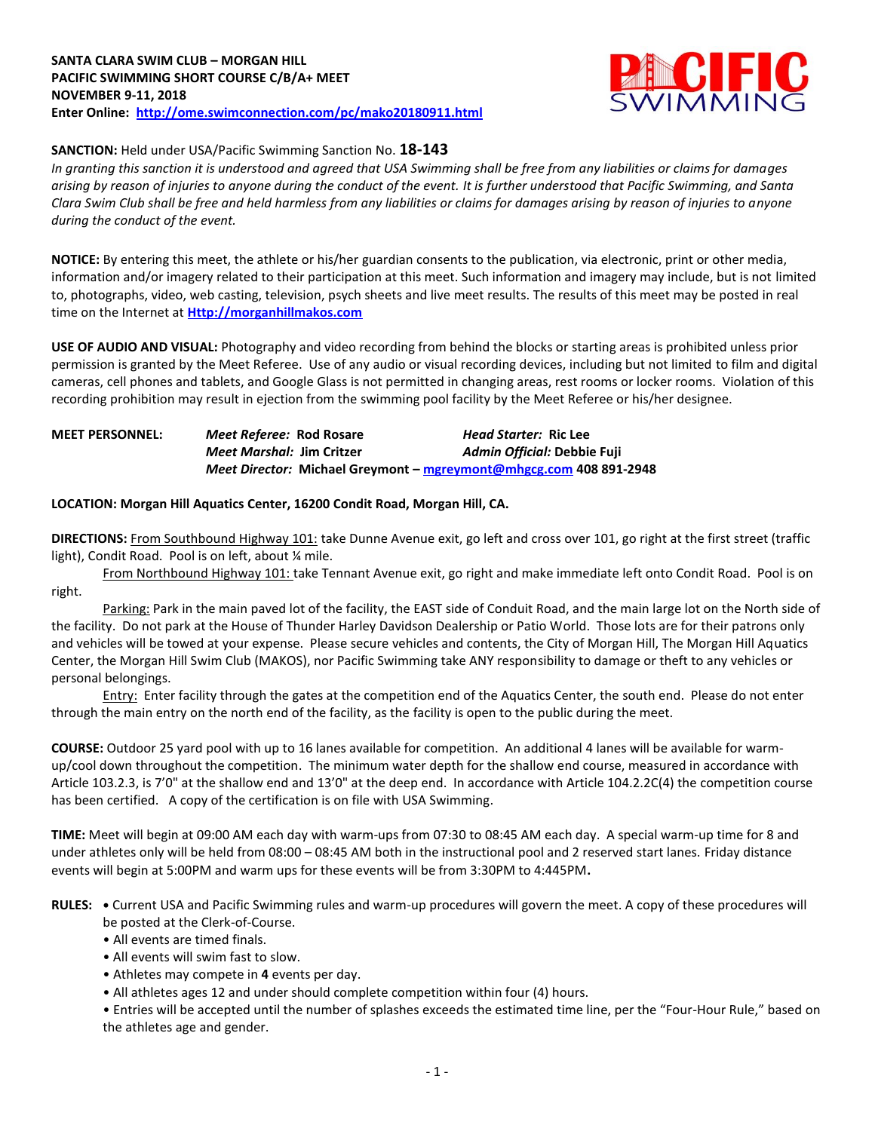

## **SANCTION:** Held under USA/Pacific Swimming Sanction No. **18-143**

*In granting this sanction it is understood and agreed that USA Swimming shall be free from any liabilities or claims for damages arising by reason of injuries to anyone during the conduct of the event. It is further understood that Pacific Swimming, and Santa Clara Swim Club shall be free and held harmless from any liabilities or claims for damages arising by reason of injuries to anyone during the conduct of the event.*

**NOTICE:** By entering this meet, the athlete or his/her guardian consents to the publication, via electronic, print or other media, information and/or imagery related to their participation at this meet. Such information and imagery may include, but is not limited to, photographs, video, web casting, television, psych sheets and live meet results. The results of this meet may be posted in real time on the Internet at **[Http://morganhillmakos.com](http://morganhillmakos.com/)**

**USE OF AUDIO AND VISUAL:** Photography and video recording from behind the blocks or starting areas is prohibited unless prior permission is granted by the Meet Referee. Use of any audio or visual recording devices, including but not limited to film and digital cameras, cell phones and tablets, and Google Glass is not permitted in changing areas, rest rooms or locker rooms. Violation of this recording prohibition may result in ejection from the swimming pool facility by the Meet Referee or his/her designee.

## **MEET PERSONNEL:** *Meet Referee:* **Rod Rosare** *Head Starter:* **Ric Lee** *Meet Marshal:* **Jim Critzer** *Admin Official:* **Debbie Fuji** *Meet Director:* **Michael Greymont – [mgreymont@mhgcg.com](mailto:mgreymont@mhgcg.com) 408 891-2948**

#### **LOCATION: Morgan Hill Aquatics Center, 16200 Condit Road, Morgan Hill, CA.**

**DIRECTIONS:** From Southbound Highway 101: take Dunne Avenue exit, go left and cross over 101, go right at the first street (traffic light), Condit Road. Pool is on left, about % mile.

From Northbound Highway 101: take Tennant Avenue exit, go right and make immediate left onto Condit Road. Pool is on right.

Parking: Park in the main paved lot of the facility, the EAST side of Conduit Road, and the main large lot on the North side of the facility. Do not park at the House of Thunder Harley Davidson Dealership or Patio World. Those lots are for their patrons only and vehicles will be towed at your expense. Please secure vehicles and contents, the City of Morgan Hill, The Morgan Hill Aquatics Center, the Morgan Hill Swim Club (MAKOS), nor Pacific Swimming take ANY responsibility to damage or theft to any vehicles or personal belongings.

Entry: Enter facility through the gates at the competition end of the Aquatics Center, the south end. Please do not enter through the main entry on the north end of the facility, as the facility is open to the public during the meet.

**COURSE:** Outdoor 25 yard pool with up to 16 lanes available for competition. An additional 4 lanes will be available for warmup/cool down throughout the competition. The minimum water depth for the shallow end course, measured in accordance with Article 103.2.3, is 7'0" at the shallow end and 13'0" at the deep end. In accordance with Article 104.2.2C(4) the competition course has been certified. A copy of the certification is on file with USA Swimming.

**TIME:** Meet will begin at 09:00 AM each day with warm-ups from 07:30 to 08:45 AM each day. A special warm-up time for 8 and under athletes only will be held from 08:00 – 08:45 AM both in the instructional pool and 2 reserved start lanes. Friday distance events will begin at 5:00PM and warm ups for these events will be from 3:30PM to 4:445PM**.**

**RULES: •** Current USA and Pacific Swimming rules and warm-up procedures will govern the meet. A copy of these procedures will be posted at the Clerk-of-Course.

- All events are timed finals.
- All events will swim fast to slow.
- Athletes may compete in **4** events per day.
- All athletes ages 12 and under should complete competition within four (4) hours.

• Entries will be accepted until the number of splashes exceeds the estimated time line, per the "Four-Hour Rule," based on the athletes age and gender.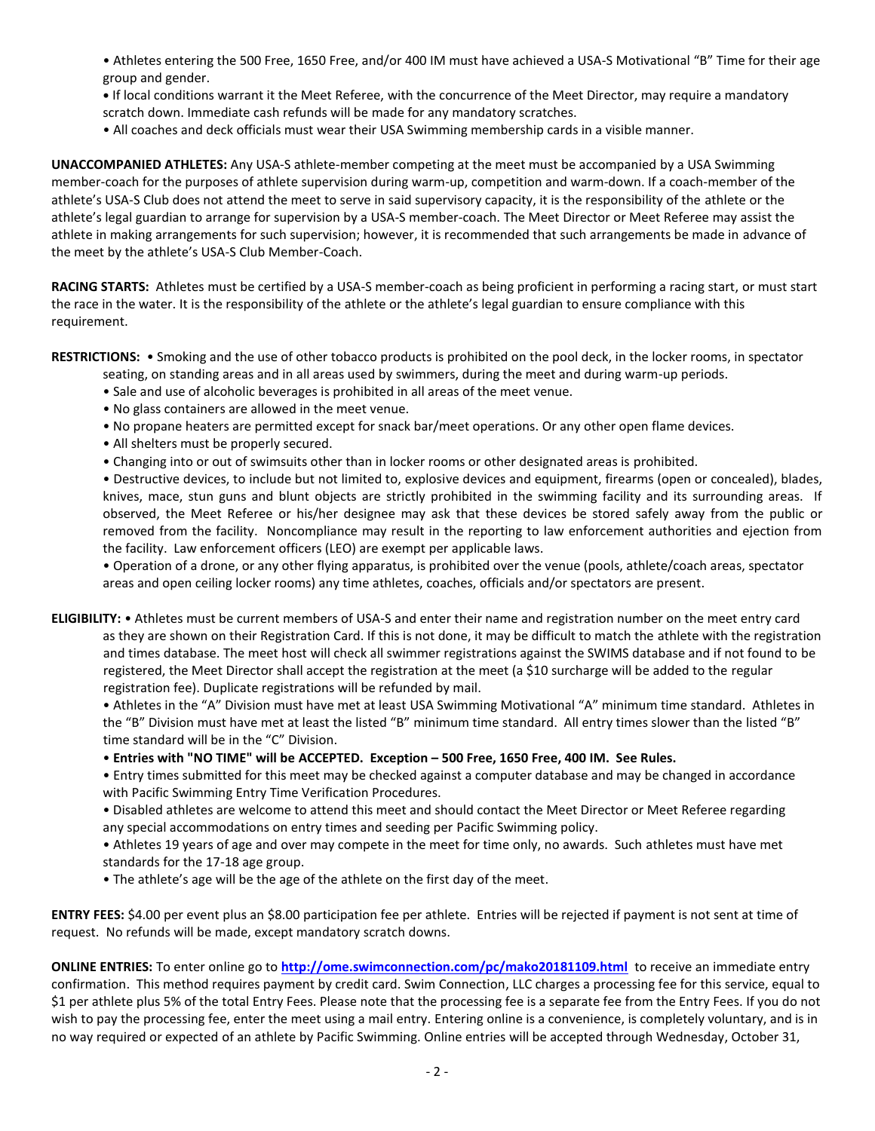• Athletes entering the 500 Free, 1650 Free, and/or 400 IM must have achieved a USA-S Motivational "B" Time for their age group and gender.

**•** If local conditions warrant it the Meet Referee, with the concurrence of the Meet Director, may require a mandatory scratch down. Immediate cash refunds will be made for any mandatory scratches.

• All coaches and deck officials must wear their USA Swimming membership cards in a visible manner.

**UNACCOMPANIED ATHLETES:** Any USA-S athlete-member competing at the meet must be accompanied by a USA Swimming member-coach for the purposes of athlete supervision during warm-up, competition and warm-down. If a coach-member of the athlete's USA-S Club does not attend the meet to serve in said supervisory capacity, it is the responsibility of the athlete or the athlete's legal guardian to arrange for supervision by a USA-S member-coach. The Meet Director or Meet Referee may assist the athlete in making arrangements for such supervision; however, it is recommended that such arrangements be made in advance of the meet by the athlete's USA-S Club Member-Coach.

**RACING STARTS:** Athletes must be certified by a USA-S member-coach as being proficient in performing a racing start, or must start the race in the water. It is the responsibility of the athlete or the athlete's legal guardian to ensure compliance with this requirement.

**RESTRICTIONS:** • Smoking and the use of other tobacco products is prohibited on the pool deck, in the locker rooms, in spectator

- seating, on standing areas and in all areas used by swimmers, during the meet and during warm-up periods.
- Sale and use of alcoholic beverages is prohibited in all areas of the meet venue.
- No glass containers are allowed in the meet venue.
- No propane heaters are permitted except for snack bar/meet operations. Or any other open flame devices.
- All shelters must be properly secured.
- Changing into or out of swimsuits other than in locker rooms or other designated areas is prohibited.

• Destructive devices, to include but not limited to, explosive devices and equipment, firearms (open or concealed), blades, knives, mace, stun guns and blunt objects are strictly prohibited in the swimming facility and its surrounding areas. If observed, the Meet Referee or his/her designee may ask that these devices be stored safely away from the public or removed from the facility. Noncompliance may result in the reporting to law enforcement authorities and ejection from the facility. Law enforcement officers (LEO) are exempt per applicable laws.

• Operation of a drone, or any other flying apparatus, is prohibited over the venue (pools, athlete/coach areas, spectator areas and open ceiling locker rooms) any time athletes, coaches, officials and/or spectators are present.

**ELIGIBILITY:** • Athletes must be current members of USA-S and enter their name and registration number on the meet entry card as they are shown on their Registration Card. If this is not done, it may be difficult to match the athlete with the registration and times database. The meet host will check all swimmer registrations against the SWIMS database and if not found to be registered, the Meet Director shall accept the registration at the meet (a \$10 surcharge will be added to the regular registration fee). Duplicate registrations will be refunded by mail.

• Athletes in the "A" Division must have met at least USA Swimming Motivational "A" minimum time standard. Athletes in the "B" Division must have met at least the listed "B" minimum time standard. All entry times slower than the listed "B" time standard will be in the "C" Division.

• **Entries with "NO TIME" will be ACCEPTED. Exception – 500 Free, 1650 Free, 400 IM. See Rules.**

• Entry times submitted for this meet may be checked against a computer database and may be changed in accordance with Pacific Swimming Entry Time Verification Procedures.

• Disabled athletes are welcome to attend this meet and should contact the Meet Director or Meet Referee regarding any special accommodations on entry times and seeding per Pacific Swimming policy.

• Athletes 19 years of age and over may compete in the meet for time only, no awards. Such athletes must have met standards for the 17-18 age group.

• The athlete's age will be the age of the athlete on the first day of the meet.

**ENTRY FEES:** \$4.00 per event plus an \$8.00 participation fee per athlete. Entries will be rejected if payment is not sent at time of request. No refunds will be made, except mandatory scratch downs.

**ONLINE ENTRIES:** To enter online go to **<http://ome.swimconnection.com/pc/mako20181109.html>** to receive an immediate entry confirmation. This method requires payment by credit card. Swim Connection, LLC charges a processing fee for this service, equal to \$1 per athlete plus 5% of the total Entry Fees. Please note that the processing fee is a separate fee from the Entry Fees. If you do not wish to pay the processing fee, enter the meet using a mail entry. Entering online is a convenience, is completely voluntary, and is in no way required or expected of an athlete by Pacific Swimming. Online entries will be accepted through Wednesday, October 31,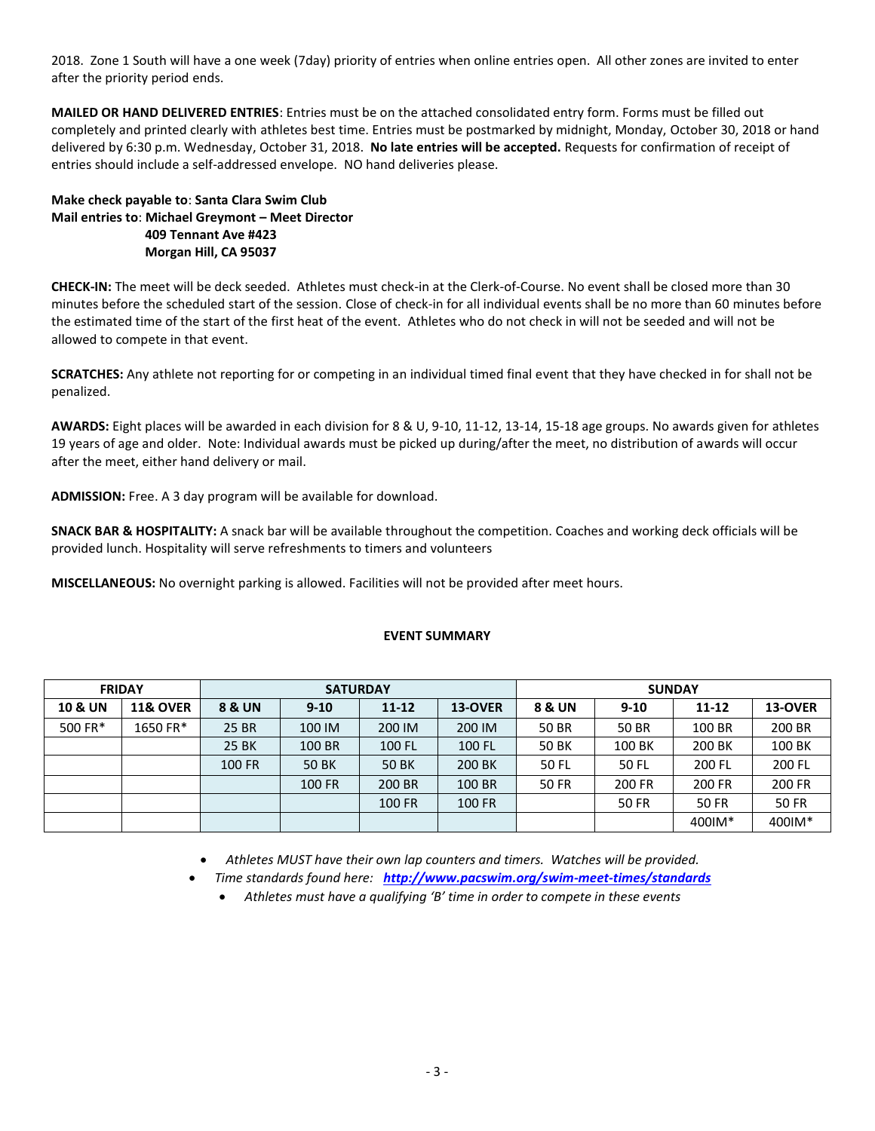2018. Zone 1 South will have a one week (7day) priority of entries when online entries open. All other zones are invited to enter after the priority period ends.

**MAILED OR HAND DELIVERED ENTRIES**: Entries must be on the attached consolidated entry form. Forms must be filled out completely and printed clearly with athletes best time. Entries must be postmarked by midnight, Monday, October 30, 2018 or hand delivered by 6:30 p.m. Wednesday, October 31, 2018. **No late entries will be accepted.** Requests for confirmation of receipt of entries should include a self-addressed envelope. NO hand deliveries please.

# **Make check payable to**: **Santa Clara Swim Club Mail entries to**: **Michael Greymont – Meet Director 409 Tennant Ave #423 Morgan Hill, CA 95037**

**CHECK-IN:** The meet will be deck seeded. Athletes must check-in at the Clerk-of-Course. No event shall be closed more than 30 minutes before the scheduled start of the session. Close of check-in for all individual events shall be no more than 60 minutes before the estimated time of the start of the first heat of the event. Athletes who do not check in will not be seeded and will not be allowed to compete in that event.

**SCRATCHES:** Any athlete not reporting for or competing in an individual timed final event that they have checked in for shall not be penalized.

**AWARDS:** Eight places will be awarded in each division for 8 & U, 9-10, 11-12, 13-14, 15-18 age groups. No awards given for athletes 19 years of age and older. Note: Individual awards must be picked up during/after the meet, no distribution of awards will occur after the meet, either hand delivery or mail.

**ADMISSION:** Free. A 3 day program will be available for download.

**SNACK BAR & HOSPITALITY:** A snack bar will be available throughout the competition. Coaches and working deck officials will be provided lunch. Hospitality will serve refreshments to timers and volunteers

**MISCELLANEOUS:** No overnight parking is allowed. Facilities will not be provided after meet hours.

### **EVENT SUMMARY**

| <b>FRIDAY</b>      |                     |                   | <b>SATURDAY</b> |           |         | <b>SUNDAY</b> |          |              |              |  |  |
|--------------------|---------------------|-------------------|-----------------|-----------|---------|---------------|----------|--------------|--------------|--|--|
| <b>10 &amp; UN</b> | <b>11&amp; OVER</b> | <b>8 &amp; UN</b> | $9 - 10$        | $11 - 12$ | 13-OVER | 8 & UN        | $9 - 10$ | $11 - 12$    | 13-OVER      |  |  |
| 500 FR*            | 1650 FR*            | 25 BR             | 100 IM          | 200 IM    | 200 IM  | 50 BR         | 50 BR    | 100 BR       | 200 BR       |  |  |
|                    |                     | 25 BK             | 100 BR          | 100 FL    | 100 FL  | 50 BK         | 100 BK   | 200 BK       | 100 BK       |  |  |
|                    |                     | 100 FR            | 50 BK           | 50 BK     | 200 BK  | 50 FL         | 50 FL    | 200 FL       | 200 FL       |  |  |
|                    |                     |                   | 100 FR          | 200 BR    | 100 BR  | <b>50 FR</b>  | 200 FR   | 200 FR       | 200 FR       |  |  |
|                    |                     |                   |                 | 100 FR    | 100 FR  |               | 50 FR    | <b>50 FR</b> | <b>50 FR</b> |  |  |
|                    |                     |                   |                 |           |         |               |          | 400IM*       | 400IM*       |  |  |

*Athletes MUST have their own lap counters and timers. Watches will be provided.*

*Time standards found here: <http://www.pacswim.org/swim-meet-times/standards>*

*Athletes must have a qualifying 'B' time in order to compete in these events*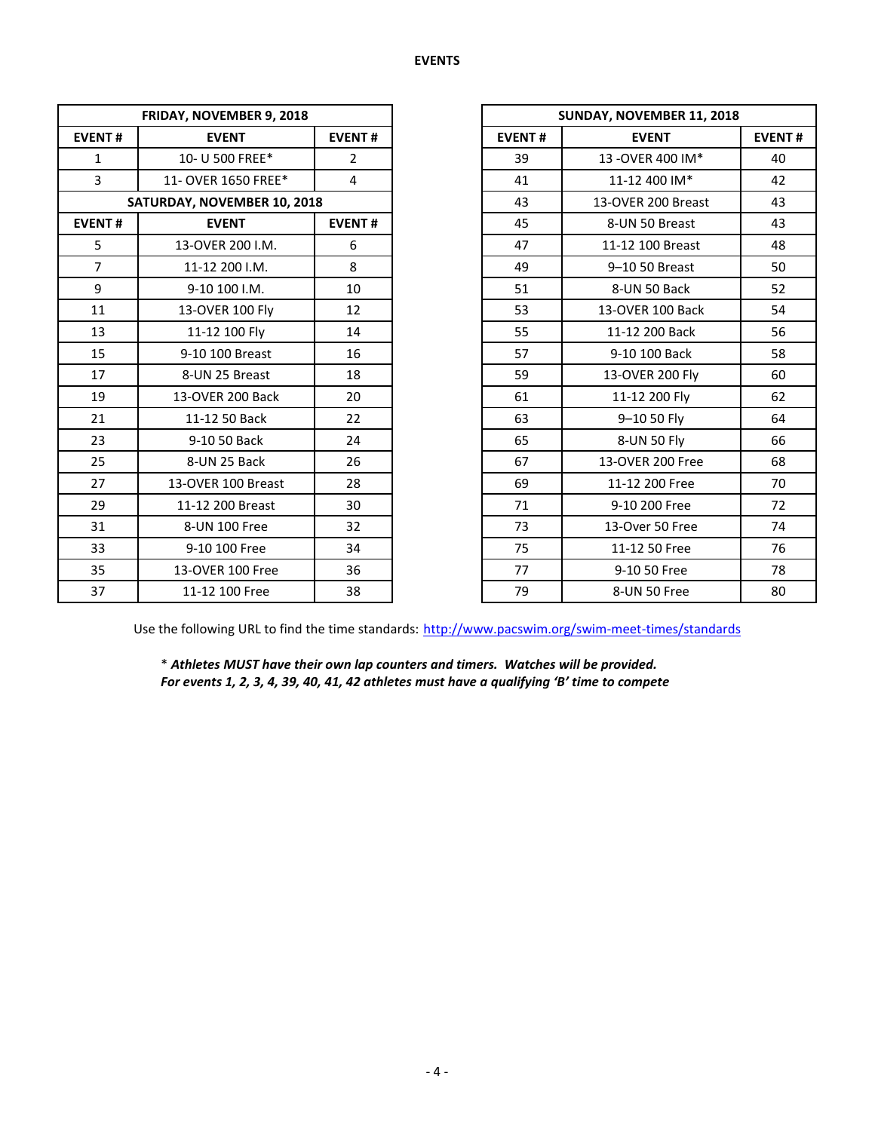|                               | FRIDAY, NOVEMBER 9, 2018    |                |               | SUNDAY, NOVEMBER 11, 2018 |             |  |  |  |
|-------------------------------|-----------------------------|----------------|---------------|---------------------------|-------------|--|--|--|
| <b>EVENT#</b>                 | <b>EVENT</b>                | <b>EVENT#</b>  | <b>EVENT#</b> | <b>EVENT</b>              | <b>EVEN</b> |  |  |  |
| $\mathbf{1}$                  | 10- U 500 FREE*             | $\overline{2}$ | 39            | 13-OVER 400 IM*           | 40          |  |  |  |
| $\overline{3}$                | 11- OVER 1650 FREE*         | $\overline{4}$ | 41            | 11-12 400 IM*             | 42          |  |  |  |
|                               | SATURDAY, NOVEMBER 10, 2018 |                | 43            | 13-OVER 200 Breast        | 43          |  |  |  |
| <b>EVENT#</b><br><b>EVENT</b> |                             | <b>EVENT#</b>  | 45            | 8-UN 50 Breast            | 43          |  |  |  |
| 5                             | 13-OVER 200 I.M.            | 6              | 47            | 11-12 100 Breast          | 48          |  |  |  |
| $\overline{7}$                | 11-12 200 I.M.              | 8              | 49            | 9-10 50 Breast            | 50          |  |  |  |
| 9                             | 9-10 100 I.M.               | 10             | 51            | 8-UN 50 Back              | 52          |  |  |  |
| 11                            | 13-OVER 100 Fly             | 12             | 53            | 13-OVER 100 Back          | 54          |  |  |  |
| 13                            | 11-12 100 Fly               | 14             | 55            | 11-12 200 Back            | 56          |  |  |  |
| 15                            | 9-10 100 Breast             | 16             | 57            | 9-10 100 Back             | 58          |  |  |  |
| 17                            | 8-UN 25 Breast              | 18             | 59            | 13-OVER 200 Fly           | 60          |  |  |  |
| 19                            | 13-OVER 200 Back            | 20             | 61            | 11-12 200 Fly             | 62          |  |  |  |
| 21                            | 11-12 50 Back               | 22             | 63            | 9-10 50 Fly               | 64          |  |  |  |
| 23                            | 9-10 50 Back                | 24             | 65            | 8-UN 50 Fly               | 66          |  |  |  |
| 25                            | 8-UN 25 Back                | 26             | 67            | 13-OVER 200 Free          | 68          |  |  |  |
| 27                            | 13-OVER 100 Breast          | 28             | 69            | 11-12 200 Free            | 70          |  |  |  |
| 29                            | 11-12 200 Breast            | 30             | 71            | 9-10 200 Free             | 72          |  |  |  |
| 31                            | 8-UN 100 Free               | 32             | 73            | 13-Over 50 Free           | 74          |  |  |  |
| 33                            | 9-10 100 Free               | 34             | 75            | 11-12 50 Free             | 76          |  |  |  |
| 35                            | 13-OVER 100 Free            | 36             | 77            | 9-10 50 Free              | 78          |  |  |  |
| 37                            | 11-12 100 Free              | 38             | 79            | 8-UN 50 Free              | 80          |  |  |  |

| FRIDAY, NOVEMBER 9, 2018 |                             |                |  |
|--------------------------|-----------------------------|----------------|--|
| <b>EVENT#</b>            | <b>EVENT</b>                | <b>EVENT#</b>  |  |
| $\mathbf{1}$             | 10- U 500 FREE*             | $\overline{2}$ |  |
| $\overline{3}$           | 11- OVER 1650 FREE*         | 4              |  |
|                          | SATURDAY, NOVEMBER 10, 2018 |                |  |
| <b>EVENT#</b>            | <b>EVENT</b>                |                |  |
| 5                        | 13-OVER 200 I.M.            | 6              |  |
| $\overline{7}$           | 11-12 200 I.M.              | 8              |  |
| 9                        | 9-10 100 I.M.               | 10             |  |
| 11                       | 13-OVER 100 Fly             | 12             |  |
| 13                       | 11-12 100 Fly               | 14             |  |
| 15                       | 9-10 100 Breast             | 16             |  |
| 17                       | 8-UN 25 Breast              | 18             |  |
| 19                       | 13-OVER 200 Back            | 20             |  |
| 21                       | 11-12 50 Back               | 22             |  |
| 23                       | 9-10 50 Back                | 24             |  |
| 25                       | 8-UN 25 Back                | 26             |  |
| 27                       | 13-OVER 100 Breast          | 28             |  |
| 29                       | 11-12 200 Breast            | 30             |  |
| 31                       | 8-UN 100 Free               | 32             |  |
| 33                       | 9-10 100 Free               | 34             |  |
| 35                       | 13-OVER 100 Free            | 36             |  |
| 37                       | 11-12 100 Free              | 38             |  |

Use the following URL to find the time standards: <http://www.pacswim.org/swim-meet-times/standards>

\* *Athletes MUST have their own lap counters and timers. Watches will be provided. For events 1, 2, 3, 4, 39, 40, 41, 42 athletes must have a qualifying 'B' time to compete*